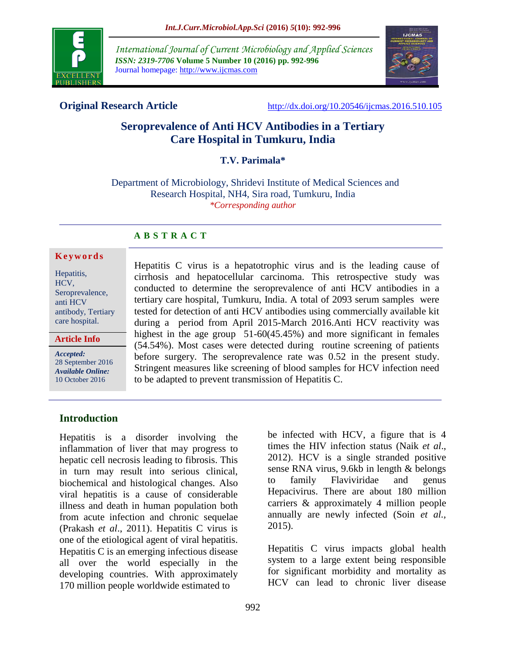

*International Journal of Current Microbiology and Applied Sciences ISSN: 2319-7706* **Volume 5 Number 10 (2016) pp. 992-996** Journal homepage: http://www.ijcmas.com



**Original Research Article** <http://dx.doi.org/10.20546/ijcmas.2016.510.105>

# **Seroprevalence of Anti HCV Antibodies in a Tertiary Care Hospital in Tumkuru, India**

#### **T.V. Parimala\***

Department of Microbiology, Shridevi Institute of Medical Sciences and Research Hospital, NH4, Sira road, Tumkuru, India *\*Corresponding author*

### **A B S T R A C T**

#### **K e y w o r d s**

Hepatitis, HCV, Seroprevalence, anti HCV antibody, Tertiary care hospital.

**Article Info**

*Accepted:*  28 September 2016 *Available Online:* 10 October 2016

Hepatitis C virus is a hepatotrophic virus and is the leading cause of cirrhosis and hepatocellular carcinoma. This retrospective study was conducted to determine the seroprevalence of anti HCV antibodies in a tertiary care hospital, Tumkuru, India. A total of 2093 serum samples were tested for detection of anti HCV antibodies using commercially available kit during a period from April 2015-March 2016.Anti HCV reactivity was highest in the age group 51-60(45.45%) and more significant in females (54.54%). Most cases were detected during routine screening of patients before surgery. The seroprevalence rate was 0.52 in the present study. Stringent measures like screening of blood samples for HCV infection need to be adapted to prevent transmission of Hepatitis C.

### **Introduction**

Hepatitis is a disorder involving the inflammation of liver that may progress to hepatic cell necrosis leading to fibrosis. This in turn may result into serious clinical, biochemical and histological changes. Also viral hepatitis is a cause of considerable illness and death in human population both from acute infection and chronic sequelae (Prakash *et al*., 2011). Hepatitis C virus is one of the etiological agent of viral hepatitis. Hepatitis C is an emerging infectious disease all over the world especially in the developing countries. With approximately 170 million people worldwide estimated to

be infected with HCV, a figure that is 4 times the HIV infection status (Naik *et al*., 2012). HCV is a single stranded positive sense RNA virus, 9.6kb in length & belongs to family Flaviviridae and genus Hepacivirus. There are about 180 million carriers & approximately 4 million people annually are newly infected (Soin *et al.,* 2015).

Hepatitis C virus impacts global health system to a large extent being responsible for significant morbidity and mortality as HCV can lead to chronic liver disease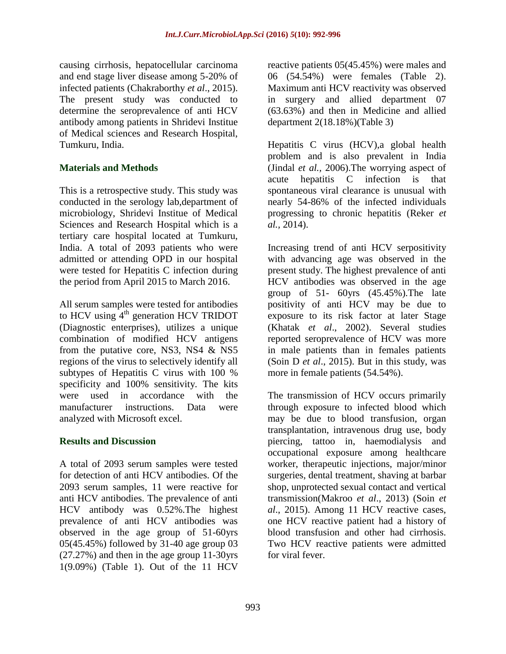causing cirrhosis, hepatocellular carcinoma and end stage liver disease among 5-20% of infected patients (Chakraborthy *et al*., 2015). The present study was conducted to determine the seroprevalence of anti HCV antibody among patients in Shridevi Institue of Medical sciences and Research Hospital, Tumkuru, India.

## **Materials and Methods**

This is a retrospective study. This study was conducted in the serology lab,department of microbiology, Shridevi Institue of Medical Sciences and Research Hospital which is a tertiary care hospital located at Tumkuru, India. A total of 2093 patients who were admitted or attending OPD in our hospital were tested for Hepatitis C infection during the period from April 2015 to March 2016.

All serum samples were tested for antibodies to HCV using  $4<sup>th</sup>$  generation HCV TRIDOT (Diagnostic enterprises), utilizes a unique combination of modified HCV antigens from the putative core, NS3, NS4  $&$  NS5 regions of the virus to selectively identify all subtypes of Hepatitis C virus with 100 % specificity and 100% sensitivity. The kits were used in accordance with the manufacturer instructions. Data were analyzed with Microsoft excel.

### **Results and Discussion**

A total of 2093 serum samples were tested for detection of anti HCV antibodies. Of the 2093 serum samples, 11 were reactive for anti HCV antibodies. The prevalence of anti HCV antibody was 0.52%.The highest prevalence of anti HCV antibodies was observed in the age group of 51-60yrs 05(45.45%) followed by 31-40 age group 03 (27.27%) and then in the age group 11-30yrs 1(9.09%) (Table 1). Out of the 11 HCV

reactive patients 05(45.45%) were males and 06 (54.54%) were females (Table 2). Maximum anti HCV reactivity was observed in surgery and allied department 07 (63.63%) and then in Medicine and allied department 2(18.18%)(Table 3)

Hepatitis C virus (HCV),a global health problem and is also prevalent in India (Jindal *et al.,* 2006).The worrying aspect of acute hepatitis C infection is that spontaneous viral clearance is unusual with nearly 54-86% of the infected individuals progressing to chronic hepatitis (Reker *et al.,* 2014).

Increasing trend of anti HCV serpositivity with advancing age was observed in the present study. The highest prevalence of anti HCV antibodies was observed in the age group of 51- 60yrs (45.45%).The late positivity of anti HCV may be due to exposure to its risk factor at later Stage (Khatak *et al*., 2002). Several studies reported seroprevalence of HCV was more in male patients than in females patients (Soin D *et al*., 2015). But in this study, was more in female patients (54.54%).

The transmission of HCV occurs primarily through exposure to infected blood which may be due to blood transfusion, organ transplantation, intravenous drug use, body piercing, tattoo in, haemodialysis and occupational exposure among healthcare worker, therapeutic injections, major/minor surgeries, dental treatment, shaving at barbar shop, unprotected sexual contact and vertical transmission(Makroo *et al*., 2013) (Soin *et al*., 2015). Among 11 HCV reactive cases, one HCV reactive patient had a history of blood transfusion and other had cirrhosis. Two HCV reactive patients were admitted for viral fever.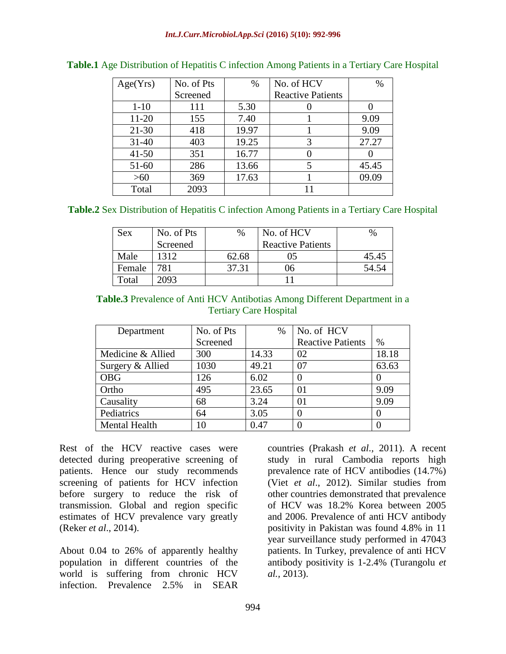| Age(Yrs)  | No. of Pts | $\%$  | No. of HCV               | $\%$  |
|-----------|------------|-------|--------------------------|-------|
|           | Screened   |       | <b>Reactive Patients</b> |       |
| $1 - 10$  | 111        | 5.30  |                          |       |
| $11 - 20$ | 155        | 7.40  |                          | 9.09  |
| $21 - 30$ | 418        | 19.97 |                          | 9.09  |
| $31 - 40$ | 403        | 19.25 | 3                        | 27.27 |
| $41 - 50$ | 351        | 16.77 |                          |       |
| $51-60$   | 286        | 13.66 |                          | 45.45 |
| >60       | 369        | 17.63 |                          | 09.09 |
| Total     | 2093       |       |                          |       |

| Table.1 Age Distribution of Hepatitis C infection Among Patients in a Tertiary Care Hospital |  |  |  |
|----------------------------------------------------------------------------------------------|--|--|--|
|                                                                                              |  |  |  |

#### **Table.2** Sex Distribution of Hepatitis C infection Among Patients in a Tertiary Care Hospital

| <b>Sex</b> | No. of Pts | %     | No. of HCV               | $\%$  |
|------------|------------|-------|--------------------------|-------|
|            | Screened   |       | <b>Reactive Patients</b> |       |
| Male       | 1312       | 62.68 | 05                       | 45.45 |
| Female     | 781        | 37.31 | ')6                      | 54.54 |
| Total      | 2093       |       |                          |       |

#### **Table.3** Prevalence of Anti HCV Antibotias Among Different Department in a Tertiary Care Hospital

| Department           | No. of Pts | %     | No. of HCV               |       |
|----------------------|------------|-------|--------------------------|-------|
|                      | Screened   |       | <b>Reactive Patients</b> | $\%$  |
| Medicine & Allied    | 300        | 14.33 | 02                       | 18.18 |
| Surgery & Allied     | 1030       | 49.21 | 07                       | 63.63 |
| <b>OBG</b>           | 126        | 6.02  | $\theta$                 |       |
| Ortho                | 495        | 23.65 | 01                       | 9.09  |
| Causality            | 68         | 3.24  | 01                       | 9.09  |
| Pediatrics           | 64         | 3.05  | 0                        |       |
| <b>Mental Health</b> |            | 0.47  |                          |       |

Rest of the HCV reactive cases were detected during preoperative screening of patients. Hence our study recommends screening of patients for HCV infection before surgery to reduce the risk of transmission. Global and region specific estimates of HCV prevalence vary greatly (Reker *et al*., 2014).

About 0.04 to 26% of apparently healthy population in different countries of the world is suffering from chronic HCV infection. Prevalence 2.5% in SEAR

countries (Prakash *et al.,* 2011). A recent study in rural Cambodia reports high prevalence rate of HCV antibodies (14.7%) (Viet *et al*., 2012). Similar studies from other countries demonstrated that prevalence of HCV was 18.2% Korea between 2005 and 2006. Prevalence of anti HCV antibody positivity in Pakistan was found 4.8% in 11 year surveillance study performed in 47043 patients. In Turkey, prevalence of anti HCV antibody positivity is 1-2.4% (Turangolu *et al.,* 2013).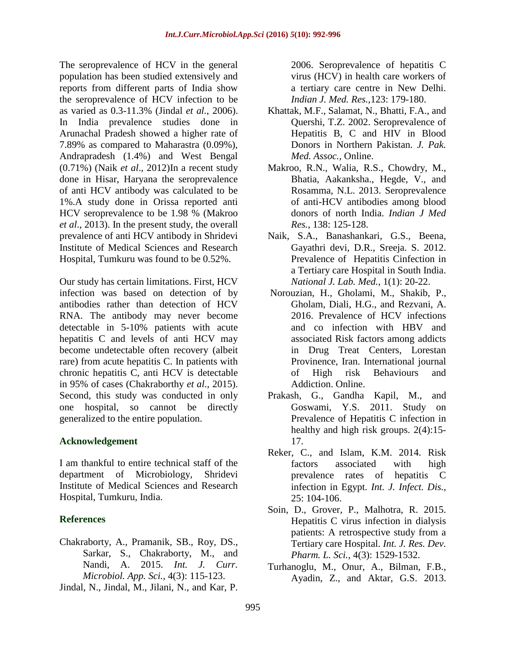The seroprevalence of HCV in the general population has been studied extensively and reports from different parts of India show the seroprevalence of HCV infection to be as varied as 0.3-11.3% (Jindal *et al.*, 2006). In India prevalence studies done in Arunachal Pradesh showed a higher rate of 7.89% as compared to Maharastra (0.09%), Andrapradesh (1.4%) and West Bengal (0.71%) (Naik *et al*., 2012)In a recent study done in Hisar, Haryana the seroprevalence of anti HCV antibody was calculated to be 1%.A study done in Orissa reported anti HCV seroprevalence to be 1.98 % (Makroo *et al*., 2013). In the present study, the overall prevalence of anti HCV antibody in Shridevi Institute of Medical Sciences and Research Hospital, Tumkuru was found to be 0.52%.

Our study has certain limitations. First, HCV infection was based on detection of by antibodies rather than detection of HCV RNA. The antibody may never become detectable in 5-10% patients with acute hepatitis C and levels of anti HCV may become undetectable often recovery (albeit rare) from acute hepatitis C. In patients with chronic hepatitis C, anti HCV is detectable in 95% of cases (Chakraborthy *et al*., 2015). Second, this study was conducted in only one hospital, so cannot be directly generalized to the entire population.

### **Acknowledgement**

I am thankful to entire technical staff of the department of Microbiology, Shridevi Institute of Medical Sciences and Research Hospital, Tumkuru, India.

# **References**

- Chakraborty, A., Pramanik, SB., Roy, DS., Sarkar, S., Chakraborty, M., and Nandi, A. 2015. *Int. J. Curr. Microbiol. App. Sci.,* 4(3): 115-123.
- Jindal, N., Jindal, M., Jilani, N., and Kar, P.

2006. Seroprevalence of hepatitis C virus (HCV) in health care workers of a tertiary care centre in New Delhi. *Indian J. Med. Res.,*123: 179-180.

- Khattak, M.F., Salamat, N., Bhatti, F.A., and Quershi, T.Z. 2002. Seroprevalence of Hepatitis B, C and HIV in Blood Donors in Northern Pakistan. *J. Pak. Med. Assoc.,* Online.
- Makroo, R.N., Walia, R.S., Chowdry, M., Bhatia, Aakanksha., Hegde, V., and Rosamma, N.L. 2013. Seroprevalence of anti-HCV antibodies among blood donors of north India. *Indian J Med Res.*, 138: 125-128.
- Naik, S.A., Banashankari, G.S., Beena, Gayathri devi, D.R., Sreeja. S. 2012. Prevalence of Hepatitis Cinfection in a Tertiary care Hospital in South India. *National J. Lab. Med.,* 1(1): 20-22.
- Norouzian, H., Gholami, M., Shakib, P., Gholam, Diali, H.G., and Rezvani, A. 2016. Prevalence of HCV infections and co infection with HBV and associated Risk factors among addicts in Drug Treat Centers, Lorestan Provinence, Iran. International journal of High risk Behaviours and Addiction. Online.
- Prakash, G., Gandha Kapil, M., and Goswami, Y.S. 2011. Study on Prevalence of Hepatitis C infection in healthy and high risk groups. 2(4):15- 17.
- Reker, C., and Islam, K.M. 2014. Risk factors associated with high prevalence rates of hepatitis C infection in Egypt. *Int. J. Infect. Dis.,*  25: 104-106.
- Soin, D., Grover, P., Malhotra, R. 2015. Hepatitis C virus infection in dialysis patients: A retrospective study from a Tertiary care Hospital. *Int. J. Res. Dev. Pharm. L. Sci.,* 4(3): 1529-1532.
- Turhanoglu, M., Onur, A., Bilman, F.B., Ayadin, Z., and Aktar, G.S. 2013.